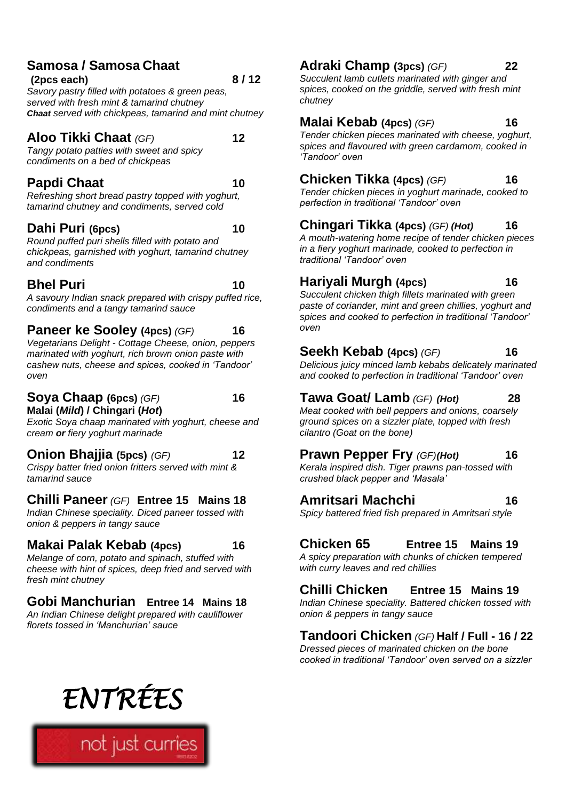#### **Samosa / Samosa Chaat**

**(2pcs each) 8 / 12** *Savory pastry filled with potatoes & green peas, served with fresh mint & tamarind chutney Chaat served with chickpeas, tamarind and mint chutney*

**Aloo Tikki Chaat** *(GF)* **12**

*Tangy potato patties with sweet and spicy condiments on a bed of chickpeas* 

#### **Papdi Chaat 10**

*Refreshing short bread pastry topped with yoghurt, tamarind chutney and condiments, served cold*

#### **Dahi Puri (6pcs) 10**

*Round puffed puri shells filled with potato and chickpeas, garnished with yoghurt, tamarind chutney and condiments*

#### **Bhel Puri 10**

*A savoury Indian snack prepared with crispy puffed rice, condiments and a tangy tamarind sauce*

#### **Paneer ke Sooley (4pcs)** *(GF)* **16**

*Vegetarians Delight - Cottage Cheese, onion, peppers marinated with yoghurt, rich brown onion paste with cashew nuts, cheese and spices, cooked in 'Tandoor' oven*

#### **Soya Chaap (6pcs)** *(GF)* **16 Malai (***Mild***) / Chingari (***Hot***)**

*Exotic Soya chaap marinated with yoghurt, cheese and cream or fiery yoghurt marinade* 

**Onion Bhajjia (5pcs)** *(GF)* **12**

*Crispy batter fried onion fritters served with mint & tamarind sauce*

**Chilli Paneer** *(GF)* **Entree 15 Mains 18** *Indian Chinese speciality. Diced paneer tossed with onion & peppers in tangy sauce*

#### **Makai Palak Kebab (4pcs) 16**

*Melange of corn, potato and spinach, stuffed with cheese with hint of spices, deep fried and served with fresh mint chutney*

#### **Gobi Manchurian Entree 14 Mains 18** *An Indian Chinese delight prepared with cauliflower florets tossed in 'Manchurian' sauce*

#### **Adraki Champ (3pcs)** *(GF)* **22**

*Succulent lamb cutlets marinated with ginger and spices, cooked on the griddle, served with fresh mint chutney*

#### **Malai Kebab (4pcs)** *(GF)* **16**

*Tender chicken pieces marinated with cheese, yoghurt, spices and flavoured with green cardamom, cooked in 'Tandoor' oven*

#### **Chicken Tikka (4pcs)** *(GF)* **16**

*Tender chicken pieces in yoghurt marinade, cooked to perfection in traditional 'Tandoor' oven*

#### **Chingari Tikka (4pcs)** *(GF) (Hot)* **16**

*A mouth-watering home recipe of tender chicken pieces in a fiery yoghurt marinade, cooked to perfection in traditional 'Tandoor' oven*

#### **Hariyali Murgh (4pcs) 16**

*Succulent chicken thigh fillets marinated with green paste of coriander, mint and green chillies, yoghurt and spices and cooked to perfection in traditional 'Tandoor'* 

#### **Seekh Kebab (4pcs)** *(GF)* **16**

*Delicious juicy minced lamb kebabs delicately marinated and cooked to perfection in traditional 'Tandoor' oven*

#### **Tawa Goat/ Lamb** *(GF) (Hot)* **28**

*Meat cooked with bell peppers and onions, coarsely ground spices on a sizzler plate, topped with fresh cilantro (Goat on the bone)*

#### **Prawn Pepper Fry** *(GF)(Hot)* **16**

*Kerala inspired dish. Tiger prawns pan-tossed with crushed black pepper and 'Masala'*

#### **Amritsari Machchi 16**

*oven*

*Spicy battered fried fish prepared in Amritsari style*

#### **Chicken 65 Entree 15 Mains 19**

*A spicy preparation with chunks of chicken tempered with curry leaves and red chillies*

#### **Chilli Chicken Entree 15 Mains 19**

*Indian Chinese speciality. Battered chicken tossed with onion & peppers in tangy sauce*

#### **Tandoori Chicken** *(GF)* **Half / Full - 16 / 22**

*Dressed pieces of marinated chicken on the bone cooked in traditional 'Tandoor' oven served on a sizzler*

# *ENTRÉES*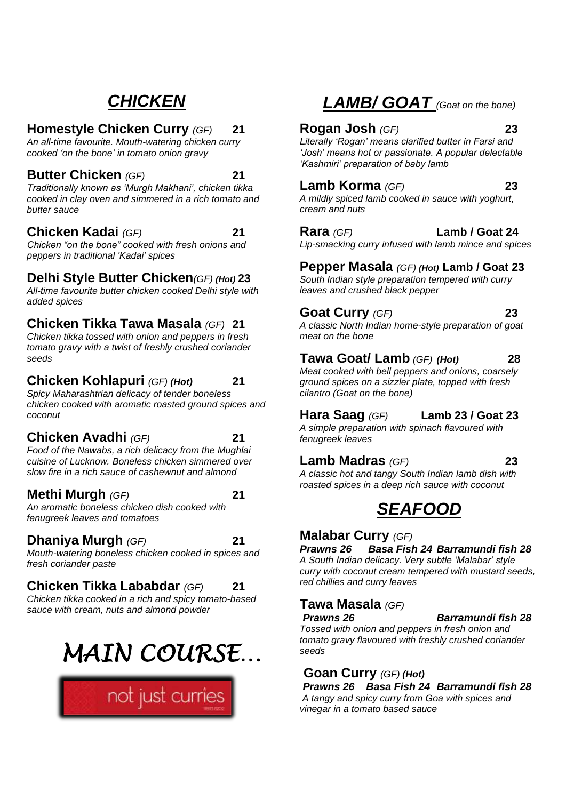## *CHICKEN*

#### **Homestyle Chicken Curry** *(GF)* **21**

*An all-time favourite. Mouth-watering chicken curry cooked 'on the bone' in tomato onion gravy*

#### **Butter Chicken** *(GF)* **21**

*Traditionally known as 'Murgh Makhani', chicken tikka cooked in clay oven and simmered in a rich tomato and butter sauce*

#### **Chicken Kadai** *(GF)* **21**

*Chicken "on the bone" cooked with fresh onions and peppers in traditional 'Kadai' spices*

#### **Delhi Style Butter Chicken***(GF) (Hot)* **23**

*All-time favourite butter chicken cooked Delhi style with added spices* 

#### **Chicken Tikka Tawa Masala** *(GF)* **21**

*Chicken tikka tossed with onion and peppers in fresh tomato gravy with a twist of freshly crushed coriander seeds*

#### **Chicken Kohlapuri** *(GF) (Hot)* **21**

*Spicy Maharashtrian delicacy of tender boneless chicken cooked with aromatic roasted ground spices and coconut* 

#### **Chicken Avadhi** *(GF)* **21**

*Food of the Nawabs, a rich delicacy from the Mughlai cuisine of Lucknow. Boneless chicken simmered over slow fire in a rich sauce of cashewnut and almond*

#### **Methi Murgh** *(GF)* **21**

*An aromatic boneless chicken dish cooked with fenugreek leaves and tomatoes*

#### **Dhaniya Murgh** *(GF)* **21**

*Mouth-watering boneless chicken cooked in spices and fresh coriander paste*

#### **Chicken Tikka Lababdar** *(GF)* **21**

*Chicken tikka cooked in a rich and spicy tomato-based sauce with cream, nuts and almond powder*

## *MAIN COURSE…*



#### *LAMB/ GOAT (Goat on the bone)*

#### **Rogan Josh** *(GF)* **23**

*Literally 'Rogan' means clarified butter in Farsi and 'Josh' means hot or passionate. A popular delectable 'Kashmiri' preparation of baby lamb* 

#### **Lamb Korma** *(GF)* **23**

*A mildly spiced lamb cooked in sauce with yoghurt, cream and nuts* 

#### **Rara** *(GF)* **Lamb / Goat 24**

*Lip-smacking curry infused with lamb mince and spices*

#### **Pepper Masala** *(GF) (Hot)* **Lamb / Goat 23**

*South Indian style preparation tempered with curry leaves and crushed black pepper*

#### **Goat Curry** *(GF)* **23**

*A classic North Indian home-style preparation of goat meat on the bone*

#### **Tawa Goat/ Lamb** *(GF) (Hot)* **28**

*Meat cooked with bell peppers and onions, coarsely ground spices on a sizzler plate, topped with fresh cilantro (Goat on the bone)*

#### **Hara Saag** *(GF)* **Lamb 23 / Goat 23**

*A simple preparation with spinach flavoured with fenugreek leaves*

#### **Lamb Madras** *(GF)* **23**

*A classic hot and tangy South Indian lamb dish with roasted spices in a deep rich sauce with coconut*

#### *SEAFOOD*

#### **Malabar Curry** *(GF)*

*Prawns 26 Basa Fish 24 Barramundi fish 28 A South Indian delicacy. Very subtle 'Malabar' style curry with coconut cream tempered with mustard seeds, red chillies and curry leaves*

#### **Tawa Masala** *(GF)*

*Prawns 26 Barramundi fish 28*

*Tossed with onion and peppers in fresh onion and tomato gravy flavoured with freshly crushed coriander seeds* 

#### **Goan Curry** *(GF) (Hot)*

*Prawns 26 Basa Fish 24 Barramundi fish 28 A tangy and spicy curry from Goa with spices and vinegar in a tomato based sauce*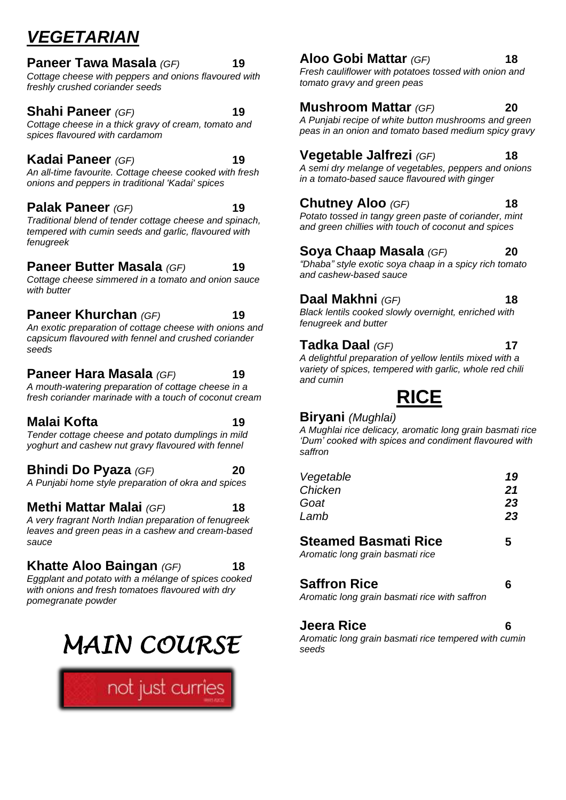## *VEGETARIAN*

#### **Paneer Tawa Masala** *(GF)* **19**

*Cottage cheese with peppers and onions flavoured with freshly crushed coriander seeds*

**Shahi Paneer** *(GF)* **19** *Cottage cheese in a thick gravy of cream, tomato and* 

#### **Kadai Paneer** *(GF)* **19**

*spices flavoured with cardamom*

*An all-time favourite. Cottage cheese cooked with fresh onions and peppers in traditional 'Kadai' spices*

#### **Palak Paneer** *(GF)* **19**

*Traditional blend of tender cottage cheese and spinach, tempered with cumin seeds and garlic, flavoured with fenugreek*

#### **Paneer Butter Masala** *(GF)* **19**

*Cottage cheese simmered in a tomato and onion sauce with butter*

#### **Paneer Khurchan** *(GF)* **19**

*An exotic preparation of cottage cheese with onions and capsicum flavoured with fennel and crushed coriander seeds*

#### **Paneer Hara Masala** *(GF)* **19**

*A mouth-watering preparation of cottage cheese in a fresh coriander marinade with a touch of coconut cream*

#### **Malai Kofta 19**

#### *Tender cottage cheese and potato dumplings in mild yoghurt and cashew nut gravy flavoured with fennel*

**Bhindi Do Pyaza** *(GF)* **20** *A Punjabi home style preparation of okra and spices*

#### **Methi Mattar Malai** *(GF)* **18**

*A very fragrant North Indian preparation of fenugreek leaves and green peas in a cashew and cream-based sauce*

#### **Khatte Aloo Baingan** *(GF)* **18**

*Eggplant and potato with a mélange of spices cooked with onions and fresh tomatoes flavoured with dry pomegranate powder*



#### **Aloo Gobi Mattar** *(GF)* **18**

*Fresh cauliflower with potatoes tossed with onion and tomato gravy and green peas*

#### **Mushroom Mattar** *(GF)* **20**

*A Punjabi recipe of white button mushrooms and green peas in an onion and tomato based medium spicy gravy*

#### **Vegetable Jalfrezi** *(GF)* **18**

*A semi dry melange of vegetables, peppers and onions in a tomato-based sauce flavoured with ginger*

#### **Chutney Aloo** *(GF)* **18**

*Potato tossed in tangy green paste of coriander, mint and green chillies with touch of coconut and spices*

#### **Soya Chaap Masala** *(GF)* **20**

*"Dhaba" style exotic soya chaap in a spicy rich tomato and cashew-based sauce*

#### **Daal Makhni** *(GF)* **18**

*Black lentils cooked slowly overnight, enriched with fenugreek and butter*

#### **Tadka Daal** *(GF)* **17**

*A delightful preparation of yellow lentils mixed with a variety of spices, tempered with garlic, whole red chili and cumin* 

**RICE**

#### **Biryani** *(Mughlai)*

*A Mughlai rice delicacy, aromatic long grain basmati rice 'Dum' cooked with spices and condiment flavoured with saffron*

| Vegetable | 19 |
|-----------|----|
| Chicken   | 21 |
|           | 23 |
|           | 23 |
|           |    |

#### **Steamed Basmati Rice 5**

*Aromatic long grain basmati rice*

#### **Saffron Rice 6**

*Aromatic long grain basmati rice with saffron*

#### **Jeera Rice 6**

*Aromatic long grain basmati rice tempered with cumin seeds*